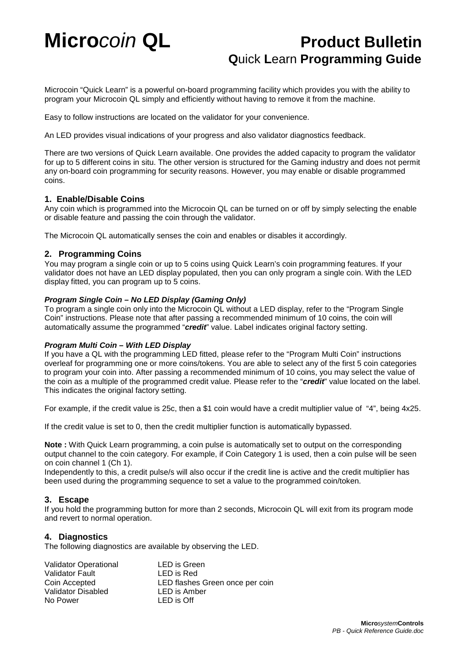# **Micro***coin* QL *Product Bulletin*  **Q**uick **L**earn **Programming Guide**

Microcoin "Quick Learn" is a powerful on-board programming facility which provides you with the ability to program your Microcoin QL simply and efficiently without having to remove it from the machine.

Easy to follow instructions are located on the validator for your convenience.

An LED provides visual indications of your progress and also validator diagnostics feedback.

There are two versions of Quick Learn available. One provides the added capacity to program the validator for up to 5 different coins in situ. The other version is structured for the Gaming industry and does not permit any on-board coin programming for security reasons. However, you may enable or disable programmed coins.

### **1. Enable/Disable Coins**

Any coin which is programmed into the Microcoin QL can be turned on or off by simply selecting the enable or disable feature and passing the coin through the validator.

The Microcoin QL automatically senses the coin and enables or disables it accordingly.

## **2. Programming Coins**

You may program a single coin or up to 5 coins using Quick Learn's coin programming features. If your validator does not have an LED display populated, then you can only program a single coin. With the LED display fitted, you can program up to 5 coins.

### **Program Single Coin – No LED Display (Gaming Only)**

To program a single coin only into the Microcoin QL without a LED display, refer to the "Program Single Coin" instructions. Please note that after passing a recommended minimum of 10 coins, the coin will automatically assume the programmed "**credit**" value. Label indicates original factory setting.

### **Program Multi Coin – With LED Display**

If you have a QL with the programming LED fitted, please refer to the "Program Multi Coin" instructions overleaf for programming one or more coins/tokens. You are able to select any of the first 5 coin categories to program your coin into. After passing a recommended minimum of 10 coins, you may select the value of the coin as a multiple of the programmed credit value. Please refer to the "**credit**" value located on the label. This indicates the original factory setting.

For example, if the credit value is 25c, then a \$1 coin would have a credit multiplier value of "4", being 4x25.

If the credit value is set to 0, then the credit multiplier function is automatically bypassed.

**Note :** With Quick Learn programming, a coin pulse is automatically set to output on the corresponding output channel to the coin category. For example, if Coin Category 1 is used, then a coin pulse will be seen on coin channel 1 (Ch 1).

Independently to this, a credit pulse/s will also occur if the credit line is active and the credit multiplier has been used during the programming sequence to set a value to the programmed coin/token.

### **3. Escape**

If you hold the programming button for more than 2 seconds, Microcoin QL will exit from its program mode and revert to normal operation.

### **4. Diagnostics**

The following diagnostics are available by observing the LED.

| <b>Validator Operational</b> | LED is Green                    |
|------------------------------|---------------------------------|
| <b>Validator Fault</b>       | LED is Red                      |
| Coin Accepted                | LED flashes Green once per coin |
| Validator Disabled           | LED is Amber                    |
| No Power                     | LED is Off                      |